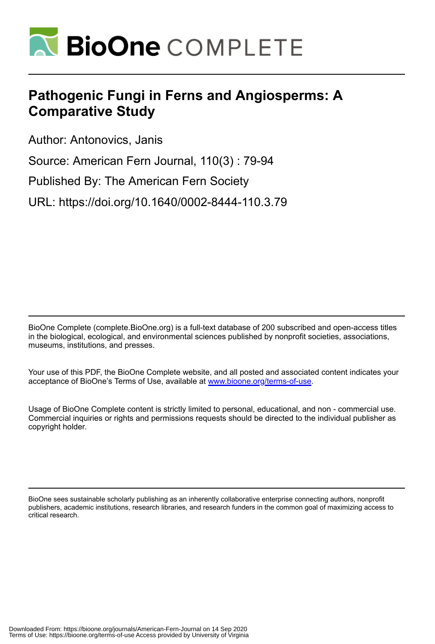

# **Pathogenic Fungi in Ferns and Angiosperms: A Comparative Study**

Author: Antonovics, Janis

Source: American Fern Journal, 110(3) : 79-94

Published By: The American Fern Society

URL: https://doi.org/10.1640/0002-8444-110.3.79

BioOne Complete (complete.BioOne.org) is a full-text database of 200 subscribed and open-access titles in the biological, ecological, and environmental sciences published by nonprofit societies, associations, museums, institutions, and presses.

Your use of this PDF, the BioOne Complete website, and all posted and associated content indicates your acceptance of BioOne's Terms of Use, available at www.bioone.org/terms-of-use.

Usage of BioOne Complete content is strictly limited to personal, educational, and non - commercial use. Commercial inquiries or rights and permissions requests should be directed to the individual publisher as copyright holder.

BioOne sees sustainable scholarly publishing as an inherently collaborative enterprise connecting authors, nonprofit publishers, academic institutions, research libraries, and research funders in the common goal of maximizing access to critical research.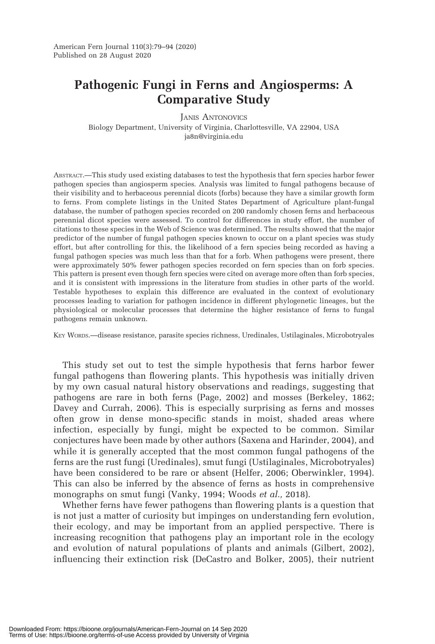## Pathogenic Fungi in Ferns and Angiosperms: A Comparative Study

JANIS ANTONOVICS Biology Department, University of Virginia, Charlottesville, VA 22904, USA ja8n@virginia.edu

ABSTRACT.—This study used existing databases to test the hypothesis that fern species harbor fewer pathogen species than angiosperm species. Analysis was limited to fungal pathogens because of their visibility and to herbaceous perennial dicots (forbs) because they have a similar growth form to ferns. From complete listings in the United States Department of Agriculture plant-fungal database, the number of pathogen species recorded on 200 randomly chosen ferns and herbaceous perennial dicot species were assessed. To control for differences in study effort, the number of citations to these species in the Web of Science was determined. The results showed that the major predictor of the number of fungal pathogen species known to occur on a plant species was study effort, but after controlling for this, the likelihood of a fern species being recorded as having a fungal pathogen species was much less than that for a forb. When pathogens were present, there were approximately 50% fewer pathogen species recorded on fern species than on forb species. This pattern is present even though fern species were cited on average more often than forb species, and it is consistent with impressions in the literature from studies in other parts of the world. Testable hypotheses to explain this difference are evaluated in the context of evolutionary processes leading to variation for pathogen incidence in different phylogenetic lineages, but the physiological or molecular processes that determine the higher resistance of ferns to fungal pathogens remain unknown.

KEY WORDS.—disease resistance, parasite species richness, Uredinales, Ustilaginales, Microbotryales

This study set out to test the simple hypothesis that ferns harbor fewer fungal pathogens than flowering plants. This hypothesis was initially driven by my own casual natural history observations and readings, suggesting that pathogens are rare in both ferns (Page, 2002) and mosses (Berkeley, 1862; Davey and Currah, 2006). This is especially surprising as ferns and mosses often grow in dense mono-specific stands in moist, shaded areas where infection, especially by fungi, might be expected to be common. Similar conjectures have been made by other authors (Saxena and Harinder, 2004), and while it is generally accepted that the most common fungal pathogens of the ferns are the rust fungi (Uredinales), smut fungi (Ustilaginales, Microbotryales) have been considered to be rare or absent (Helfer, 2006; Oberwinkler, 1994). This can also be inferred by the absence of ferns as hosts in comprehensive monographs on smut fungi (Vanky, 1994; Woods et al., 2018).

Whether ferns have fewer pathogens than flowering plants is a question that is not just a matter of curiosity but impinges on understanding fern evolution, their ecology, and may be important from an applied perspective. There is increasing recognition that pathogens play an important role in the ecology and evolution of natural populations of plants and animals (Gilbert, 2002), influencing their extinction risk (DeCastro and Bolker, 2005), their nutrient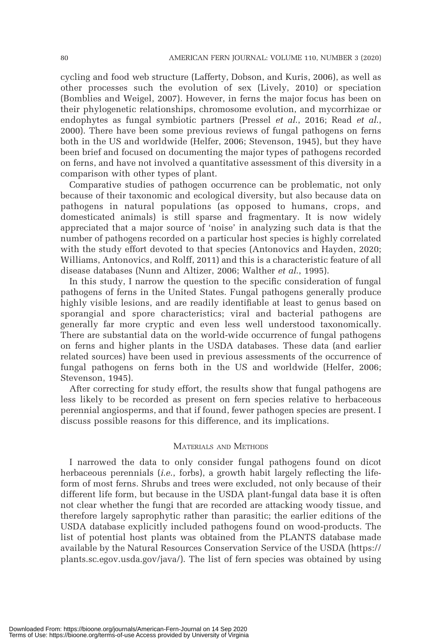cycling and food web structure (Lafferty, Dobson, and Kuris, 2006), as well as other processes such the evolution of sex (Lively, 2010) or speciation (Bomblies and Weigel, 2007). However, in ferns the major focus has been on their phylogenetic relationships, chromosome evolution, and mycorrhizae or endophytes as fungal symbiotic partners (Pressel et al., 2016; Read et al., 2000). There have been some previous reviews of fungal pathogens on ferns both in the US and worldwide (Helfer, 2006; Stevenson, 1945), but they have been brief and focused on documenting the major types of pathogens recorded on ferns, and have not involved a quantitative assessment of this diversity in a comparison with other types of plant.

Comparative studies of pathogen occurrence can be problematic, not only because of their taxonomic and ecological diversity, but also because data on pathogens in natural populations (as opposed to humans, crops, and domesticated animals) is still sparse and fragmentary. It is now widely appreciated that a major source of 'noise' in analyzing such data is that the number of pathogens recorded on a particular host species is highly correlated with the study effort devoted to that species (Antonovics and Hayden, 2020; Williams, Antonovics, and Rolff, 2011) and this is a characteristic feature of all disease databases (Nunn and Altizer, 2006; Walther et al., 1995).

In this study, I narrow the question to the specific consideration of fungal pathogens of ferns in the United States. Fungal pathogens generally produce highly visible lesions, and are readily identifiable at least to genus based on sporangial and spore characteristics; viral and bacterial pathogens are generally far more cryptic and even less well understood taxonomically. There are substantial data on the world-wide occurrence of fungal pathogens on ferns and higher plants in the USDA databases. These data (and earlier related sources) have been used in previous assessments of the occurrence of fungal pathogens on ferns both in the US and worldwide (Helfer, 2006; Stevenson, 1945).

After correcting for study effort, the results show that fungal pathogens are less likely to be recorded as present on fern species relative to herbaceous perennial angiosperms, and that if found, fewer pathogen species are present. I discuss possible reasons for this difference, and its implications.

### MATERIALS AND METHODS

I narrowed the data to only consider fungal pathogens found on dicot herbaceous perennials (*i.e.*, forbs), a growth habit largely reflecting the lifeform of most ferns. Shrubs and trees were excluded, not only because of their different life form, but because in the USDA plant-fungal data base it is often not clear whether the fungi that are recorded are attacking woody tissue, and therefore largely saprophytic rather than parasitic; the earlier editions of the USDA database explicitly included pathogens found on wood-products. The list of potential host plants was obtained from the PLANTS database made available by the Natural Resources Conservation Service of the USDA (https:// plants.sc.egov.usda.gov/java/). The list of fern species was obtained by using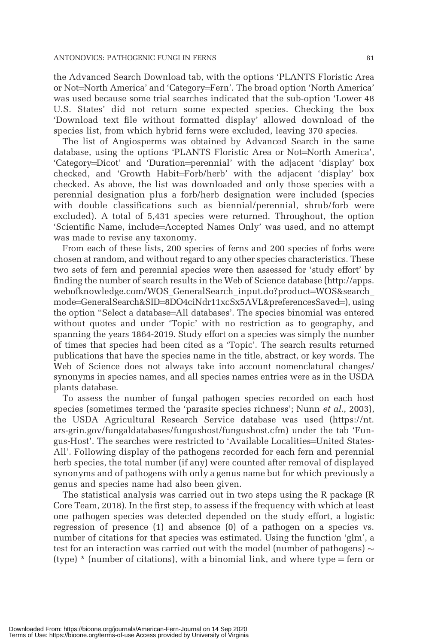the Advanced Search Download tab, with the options 'PLANTS Floristic Area or Not=North America' and 'Category=Fern'. The broad option 'North America' was used because some trial searches indicated that the sub-option 'Lower 48 U.S. States' did not return some expected species. Checking the box 'Download text file without formatted display' allowed download of the species list, from which hybrid ferns were excluded, leaving 370 species.

The list of Angiosperms was obtained by Advanced Search in the same database, using the options 'PLANTS Floristic Area or Not=North America', 'Category=Dicot' and 'Duration=perennial' with the adjacent 'display' box checked, and 'Growth Habit=Forb/herb' with the adjacent 'display' box checked. As above, the list was downloaded and only those species with a perennial designation plus a forb/herb designation were included (species with double classifications such as biennial/perennial, shrub/forb were excluded). A total of 5,431 species were returned. Throughout, the option 'Scientific Name, include=Accepted Names Only' was used, and no attempt was made to revise any taxonomy.

From each of these lists, 200 species of ferns and 200 species of forbs were chosen at random, and without regard to any other species characteristics. These two sets of fern and perennial species were then assessed for 'study effort' by finding the number of search results in the Web of Science database (http://apps. webofknowledge.com/WOS\_GeneralSearch\_input.do?product=WOS&search\_ mode=GeneralSearch&SID=8DO4ciNdr11xcSx5AVL&preferencesSaved=), using the option "Select a database=All databases'. The species binomial was entered without quotes and under 'Topic' with no restriction as to geography, and spanning the years 1864-2019. Study effort on a species was simply the number of times that species had been cited as a 'Topic'. The search results returned publications that have the species name in the title, abstract, or key words. The Web of Science does not always take into account nomenclatural changes/ synonyms in species names, and all species names entries were as in the USDA plants database.

To assess the number of fungal pathogen species recorded on each host species (sometimes termed the 'parasite species richness'; Nunn et al., 2003), the USDA Agricultural Research Service database was used (https://nt. ars-grin.gov/fungaldatabases/fungushost/fungushost.cfm) under the tab 'Fungus-Host'. The searches were restricted to 'Available Localities=United States-All'. Following display of the pathogens recorded for each fern and perennial herb species, the total number (if any) were counted after removal of displayed synonyms and of pathogens with only a genus name but for which previously a genus and species name had also been given.

The statistical analysis was carried out in two steps using the R package (R Core Team, 2018). In the first step, to assess if the frequency with which at least one pathogen species was detected depended on the study effort, a logistic regression of presence (1) and absence (0) of a pathogen on a species vs. number of citations for that species was estimated. Using the function 'glm', a test for an interaction was carried out with the model (number of pathogens)  $\sim$ (type)  $*$  (number of citations), with a binomial link, and where type = fern or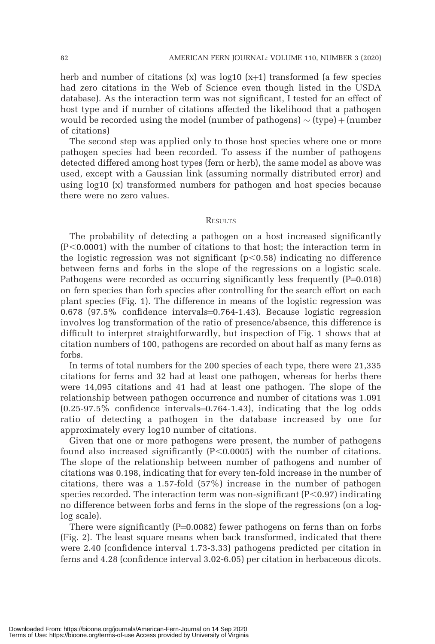herb and number of citations  $(x)$  was log10  $(x+1)$  transformed (a few species had zero citations in the Web of Science even though listed in the USDA database). As the interaction term was not significant, I tested for an effect of host type and if number of citations affected the likelihood that a pathogen would be recorded using the model (number of pathogens)  $\sim$  (type) + (number of citations)

The second step was applied only to those host species where one or more pathogen species had been recorded. To assess if the number of pathogens detected differed among host types (fern or herb), the same model as above was used, except with a Gaussian link (assuming normally distributed error) and using log10 (x) transformed numbers for pathogen and host species because there were no zero values.

#### **RESULTS**

The probability of detecting a pathogen on a host increased significantly  $(P<0.0001)$  with the number of citations to that host; the interaction term in the logistic regression was not significant  $(p<0.58)$  indicating no difference between ferns and forbs in the slope of the regressions on a logistic scale. Pathogens were recorded as occurring significantly less frequently  $(P=0.018)$ on fern species than forb species after controlling for the search effort on each plant species (Fig. 1). The difference in means of the logistic regression was  $0.678$  (97.5% confidence intervals= $0.764$ -1.43). Because logistic regression involves log transformation of the ratio of presence/absence, this difference is difficult to interpret straightforwardly, but inspection of Fig. 1 shows that at citation numbers of 100, pathogens are recorded on about half as many ferns as forbs.

In terms of total numbers for the 200 species of each type, there were 21,335 citations for ferns and 32 had at least one pathogen, whereas for herbs there were 14,095 citations and 41 had at least one pathogen. The slope of the relationship between pathogen occurrence and number of citations was 1.091  $(0.25-97.5\%$  confidence intervals=0.764-1.43), indicating that the log odds ratio of detecting a pathogen in the database increased by one for approximately every log10 number of citations.

Given that one or more pathogens were present, the number of pathogens found also increased significantly  $(P<0.0005)$  with the number of citations. The slope of the relationship between number of pathogens and number of citations was 0.198, indicating that for every ten-fold increase in the number of citations, there was a 1.57-fold (57%) increase in the number of pathogen species recorded. The interaction term was non-significant  $(P<0.97)$  indicating no difference between forbs and ferns in the slope of the regressions (on a loglog scale).

There were significantly  $(P=0.0082)$  fewer pathogens on ferns than on forbs (Fig. 2). The least square means when back transformed, indicated that there were 2.40 (confidence interval 1.73-3.33) pathogens predicted per citation in ferns and 4.28 (confidence interval 3.02-6.05) per citation in herbaceous dicots.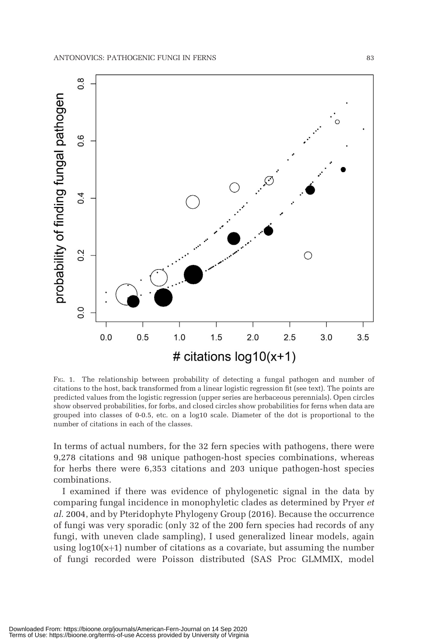

FIG. 1. The relationship between probability of detecting a fungal pathogen and number of citations to the host, back transformed from a linear logistic regression fit (see text). The points are predicted values from the logistic regression (upper series are herbaceous perennials). Open circles show observed probabilities, for forbs, and closed circles show probabilities for ferns when data are grouped into classes of 0-0.5, etc. on a log10 scale. Diameter of the dot is proportional to the number of citations in each of the classes.

In terms of actual numbers, for the 32 fern species with pathogens, there were 9,278 citations and 98 unique pathogen-host species combinations, whereas for herbs there were 6,353 citations and 203 unique pathogen-host species combinations.

I examined if there was evidence of phylogenetic signal in the data by comparing fungal incidence in monophyletic clades as determined by Pryer et al. 2004, and by Pteridophyte Phylogeny Group (2016). Because the occurrence of fungi was very sporadic (only 32 of the 200 fern species had records of any fungi, with uneven clade sampling), I used generalized linear models, again using  $log10(x+1)$  number of citations as a covariate, but assuming the number of fungi recorded were Poisson distributed (SAS Proc GLMMIX, model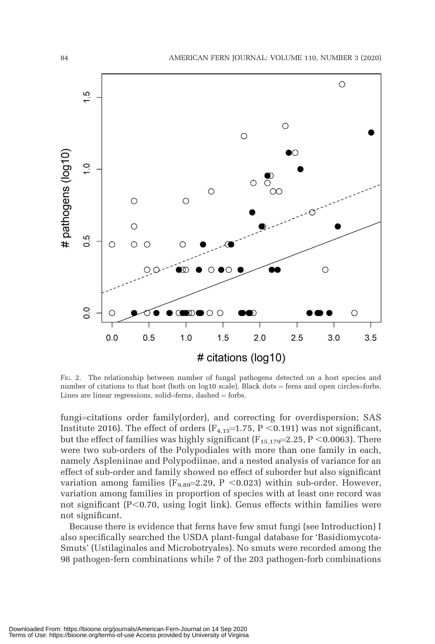

FIG. 2. The relationship between number of fungal pathogens detected on a host species and number of citations to that host (both on  $log10$  scale). Black dots = ferns and open circles=forbs. Lines are linear regressions, solid=ferns, dashed  $=$  forbs.

fungi=citations order family(order), and correcting for overdispersion; SAS Institute 2016). The effect of orders ( $F_{4,15}=1.75$ , P < 0.191) was not significant, but the effect of families was highly significant  $(F_{15,179}=2.25, P \le 0.0063)$ . There were two sub-orders of the Polypodiales with more than one family in each, namely Aspleniinae and Polypodiinae, and a nested analysis of variance for an effect of sub-order and family showed no effect of suborder but also significant variation among families ( $F_{9,89}$ =2.29, P <0.023) within sub-order. However, variation among families in proportion of species with at least one record was not significant  $(P<0.70$ , using logit link). Genus effects within families were not significant.

Because there is evidence that ferns have few smut fungi (see Introduction) I also specifically searched the USDA plant-fungal database for 'Basidiomycota-Smuts' (Ustilaginales and Microbotryales). No smuts were recorded among the 98 pathogen-fern combinations while 7 of the 203 pathogen-forb combinations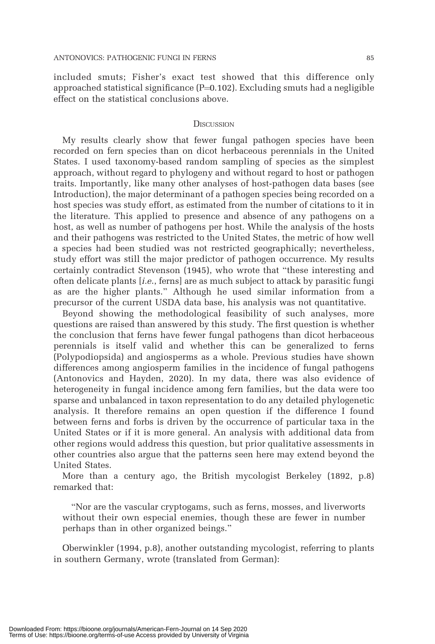included smuts; Fisher's exact test showed that this difference only approached statistical significance  $(P=0.102)$ . Excluding smuts had a negligible effect on the statistical conclusions above.

#### **DISCUSSION**

My results clearly show that fewer fungal pathogen species have been recorded on fern species than on dicot herbaceous perennials in the United States. I used taxonomy-based random sampling of species as the simplest approach, without regard to phylogeny and without regard to host or pathogen traits. Importantly, like many other analyses of host-pathogen data bases (see Introduction), the major determinant of a pathogen species being recorded on a host species was study effort, as estimated from the number of citations to it in the literature. This applied to presence and absence of any pathogens on a host, as well as number of pathogens per host. While the analysis of the hosts and their pathogens was restricted to the United States, the metric of how well a species had been studied was not restricted geographically; nevertheless, study effort was still the major predictor of pathogen occurrence. My results certainly contradict Stevenson (1945), who wrote that ''these interesting and often delicate plants [i.e., ferns] are as much subject to attack by parasitic fungi as are the higher plants.'' Although he used similar information from a precursor of the current USDA data base, his analysis was not quantitative.

Beyond showing the methodological feasibility of such analyses, more questions are raised than answered by this study. The first question is whether the conclusion that ferns have fewer fungal pathogens than dicot herbaceous perennials is itself valid and whether this can be generalized to ferns (Polypodiopsida) and angiosperms as a whole. Previous studies have shown differences among angiosperm families in the incidence of fungal pathogens (Antonovics and Hayden, 2020). In my data, there was also evidence of heterogeneity in fungal incidence among fern families, but the data were too sparse and unbalanced in taxon representation to do any detailed phylogenetic analysis. It therefore remains an open question if the difference I found between ferns and forbs is driven by the occurrence of particular taxa in the United States or if it is more general. An analysis with additional data from other regions would address this question, but prior qualitative assessments in other countries also argue that the patterns seen here may extend beyond the United States.

More than a century ago, the British mycologist Berkeley (1892, p.8) remarked that:

''Nor are the vascular cryptogams, such as ferns, mosses, and liverworts without their own especial enemies, though these are fewer in number perhaps than in other organized beings.''

Oberwinkler (1994, p.8), another outstanding mycologist, referring to plants in southern Germany, wrote (translated from German):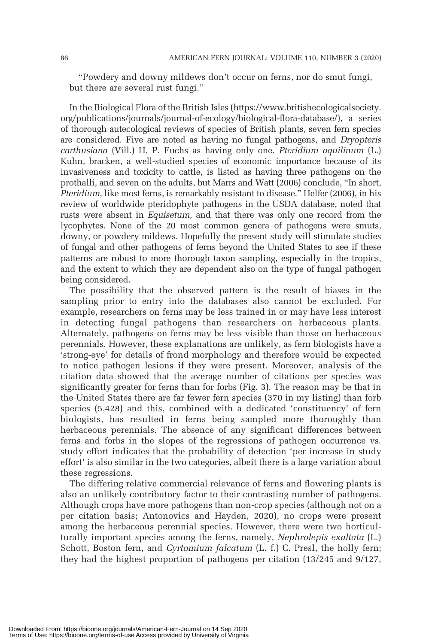''Powdery and downy mildews don't occur on ferns, nor do smut fungi, but there are several rust fungi.''

In the Biological Flora of the British Isles (https://www.britishecologicalsociety. org/publications/journals/journal-of-ecology/biological-flora-database/), a series of thorough autecological reviews of species of British plants, seven fern species are considered. Five are noted as having no fungal pathogens, and Dryopteris carthusiana (Vill.) H. P. Fuchs as having only one. Pteridium aquilinum (L.) Kuhn, bracken, a well-studied species of economic importance because of its invasiveness and toxicity to cattle, is listed as having three pathogens on the prothalli, and seven on the adults, but Marrs and Watt (2006) conclude, ''In short, Pteridium, like most ferns, is remarkably resistant to disease." Helfer (2006), in his review of worldwide pteridophyte pathogens in the USDA database, noted that rusts were absent in *Equisetum*, and that there was only one record from the lycophytes. None of the 20 most common genera of pathogens were smuts, downy, or powdery mildews. Hopefully the present study will stimulate studies of fungal and other pathogens of ferns beyond the United States to see if these patterns are robust to more thorough taxon sampling, especially in the tropics, and the extent to which they are dependent also on the type of fungal pathogen being considered.

The possibility that the observed pattern is the result of biases in the sampling prior to entry into the databases also cannot be excluded. For example, researchers on ferns may be less trained in or may have less interest in detecting fungal pathogens than researchers on herbaceous plants. Alternately, pathogens on ferns may be less visible than those on herbaceous perennials. However, these explanations are unlikely, as fern biologists have a 'strong-eye' for details of frond morphology and therefore would be expected to notice pathogen lesions if they were present. Moreover, analysis of the citation data showed that the average number of citations per species was significantly greater for ferns than for forbs (Fig. 3). The reason may be that in the United States there are far fewer fern species (370 in my listing) than forb species (5,428) and this, combined with a dedicated 'constituency' of fern biologists, has resulted in ferns being sampled more thoroughly than herbaceous perennials. The absence of any significant differences between ferns and forbs in the slopes of the regressions of pathogen occurrence vs. study effort indicates that the probability of detection 'per increase in study effort' is also similar in the two categories, albeit there is a large variation about these regressions.

The differing relative commercial relevance of ferns and flowering plants is also an unlikely contributory factor to their contrasting number of pathogens. Although crops have more pathogens than non-crop species (although not on a per citation basis; Antonovics and Hayden, 2020), no crops were present among the herbaceous perennial species. However, there were two horticulturally important species among the ferns, namely, Nephrolepis exaltata (L.) Schott, Boston fern, and Cyrtomium falcatum (L. f.) C. Presl, the holly fern; they had the highest proportion of pathogens per citation (13/245 and 9/127,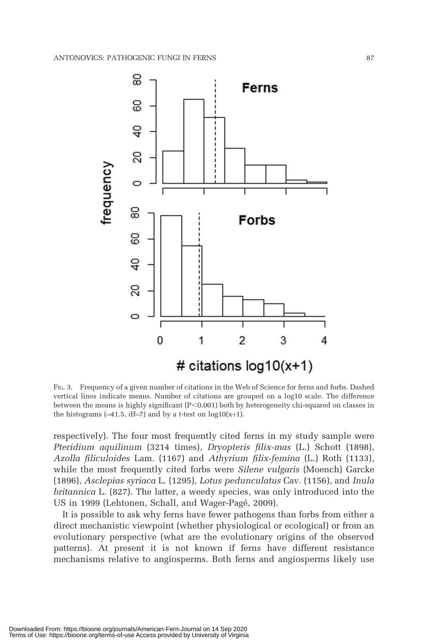

FIG. 3. Frequency of a given number of citations in the Web of Science for ferns and forbs. Dashed vertical lines indicate means. Number of citations are grouped on a log10 scale. The difference between the means is highly significant  $(P<0.001)$  both by heterogeneity chi-squared on classes in the histograms  $(=41.5, df=7)$  and by a t-test on log10(x+1).

respectively). The four most frequently cited ferns in my study sample were Pteridium aquilinum (3214 times), Dryopteris filix-mas (L.) Schott (1898), Azolla filiculoides Lam. (1167) and Athyrium filix-femina (L.) Roth (1133), while the most frequently cited forbs were *Silene vulgaris* (Moench) Garcke (1896), Asclepias syriaca L. (1295), Lotus pedunculatus Cav. (1156), and Inula britannica L. (827). The latter, a weedy species, was only introduced into the US in 1999 (Lehtonen, Schall, and Wager-Pagé, 2009).

It is possible to ask why ferns have fewer pathogens than forbs from either a direct mechanistic viewpoint (whether physiological or ecological) or from an evolutionary perspective (what are the evolutionary origins of the observed patterns). At present it is not known if ferns have different resistance mechanisms relative to angiosperms. Both ferns and angiosperms likely use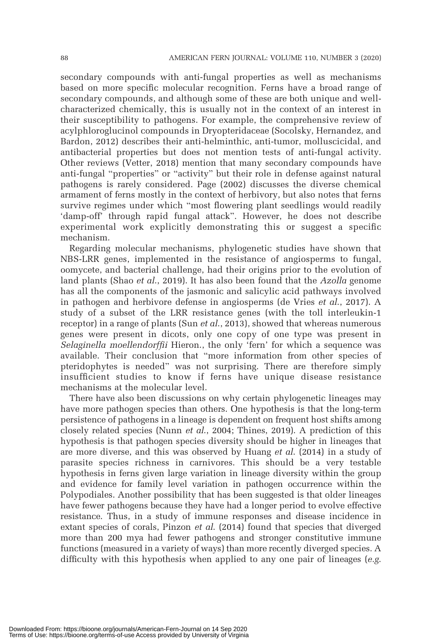secondary compounds with anti-fungal properties as well as mechanisms based on more specific molecular recognition. Ferns have a broad range of secondary compounds, and although some of these are both unique and wellcharacterized chemically, this is usually not in the context of an interest in their susceptibility to pathogens. For example, the comprehensive review of acylphloroglucinol compounds in Dryopteridaceae (Socolsky, Hernandez, and Bardon, 2012) describes their anti-helminthic, anti-tumor, molluscicidal, and antibacterial properties but does not mention tests of anti-fungal activity. Other reviews (Vetter, 2018) mention that many secondary compounds have anti-fungal ''properties'' or ''activity'' but their role in defense against natural pathogens is rarely considered. Page (2002) discusses the diverse chemical armament of ferns mostly in the context of herbivory, but also notes that ferns survive regimes under which ''most flowering plant seedlings would readily 'damp-off' through rapid fungal attack''. However, he does not describe experimental work explicitly demonstrating this or suggest a specific mechanism.

Regarding molecular mechanisms, phylogenetic studies have shown that NBS-LRR genes, implemented in the resistance of angiosperms to fungal, oomycete, and bacterial challenge, had their origins prior to the evolution of land plants (Shao *et al.*, 2019). It has also been found that the Azolla genome has all the components of the jasmonic and salicylic acid pathways involved in pathogen and herbivore defense in angiosperms (de Vries et al., 2017). A study of a subset of the LRR resistance genes (with the toll interleukin-1 receptor) in a range of plants (Sun *et al.*, 2013), showed that whereas numerous genes were present in dicots, only one copy of one type was present in Selaginella moellendorffii Hieron., the only 'fern' for which a sequence was available. Their conclusion that ''more information from other species of pteridophytes is needed'' was not surprising. There are therefore simply insufficient studies to know if ferns have unique disease resistance mechanisms at the molecular level.

There have also been discussions on why certain phylogenetic lineages may have more pathogen species than others. One hypothesis is that the long-term persistence of pathogens in a lineage is dependent on frequent host shifts among closely related species (Nunn et al., 2004; Thines, 2019). A prediction of this hypothesis is that pathogen species diversity should be higher in lineages that are more diverse, and this was observed by Huang *et al.* (2014) in a study of parasite species richness in carnivores. This should be a very testable hypothesis in ferns given large variation in lineage diversity within the group and evidence for family level variation in pathogen occurrence within the Polypodiales. Another possibility that has been suggested is that older lineages have fewer pathogens because they have had a longer period to evolve effective resistance. Thus, in a study of immune responses and disease incidence in extant species of corals, Pinzon *et al.* (2014) found that species that diverged more than 200 mya had fewer pathogens and stronger constitutive immune functions (measured in a variety of ways) than more recently diverged species. A difficulty with this hypothesis when applied to any one pair of lineages ( $e.g.$ )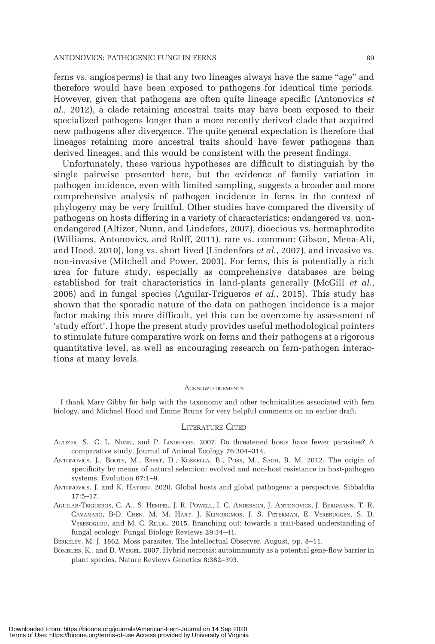ferns vs. angiosperms) is that any two lineages always have the same ''age'' and therefore would have been exposed to pathogens for identical time periods. However, given that pathogens are often quite lineage specific (Antonovics et al., 2012), a clade retaining ancestral traits may have been exposed to their specialized pathogens longer than a more recently derived clade that acquired new pathogens after divergence. The quite general expectation is therefore that lineages retaining more ancestral traits should have fewer pathogens than derived lineages, and this would be consistent with the present findings.

Unfortunately, these various hypotheses are difficult to distinguish by the single pairwise presented here, but the evidence of family variation in pathogen incidence, even with limited sampling, suggests a broader and more comprehensive analysis of pathogen incidence in ferns in the context of phylogeny may be very fruitful. Other studies have compared the diversity of pathogens on hosts differing in a variety of characteristics: endangered vs. nonendangered (Altizer, Nunn, and Lindefors, 2007), dioecious vs. hermaphrodite (Williams, Antonovics, and Rolff, 2011), rare vs. common: Gibson, Mena-Ali, and Hood, 2010), long vs. short lived (Lindenfors *et al.*, 2007), and invasive vs. non-invasive (Mitchell and Power, 2003). For ferns, this is potentially a rich area for future study, especially as comprehensive databases are being established for trait characteristics in land-plants generally (McGill et al., 2006) and in fungal species (Aguilar-Trigueros  $et$  al., 2015). This study has shown that the sporadic nature of the data on pathogen incidence is a major factor making this more difficult, yet this can be overcome by assessment of 'study effort'. I hope the present study provides useful methodological pointers to stimulate future comparative work on ferns and their pathogens at a rigorous quantitative level, as well as encouraging research on fern-pathogen interactions at many levels.

#### **ACKNOWLEDGEMENTS**

I thank Mary Gibby for help with the taxonomy and other technicalities associated with fern biology, and Michael Hood and Emme Bruns for very helpful comments on an earlier draft.

#### LITERATURE CITED

- ALTIZER, S., C. L. NUNN, and P. LINDEFORS. 2007. Do threatened hosts have fewer parasites? A comparative study. Journal of Animal Ecology 76:304–314.
- ANTONOVICS, J., BOOTS, M., EBERT, D., KOSKELLA, B., POSS, M., SADD, B. M. 2012. The origin of specificity by means of natural selection: evolved and non-host resistance in host-pathogen systems. Evolution 67:1–9.
- ANTONOVICS, J. and K. HAYDEN. 2020. Global hosts and global pathogens: a perspective. Sibbaldia 17:5–17.
- AGUILAR-TRIGUEROS, C. A., S. HEMPEL, J. R. POWELL, I. C. ANDERSON, J. ANTONOVICS, J. BERGMANN, T. R. CAVANARO, B-D. CHEN, M. M. HART, J. KLINOROMOS, J. S. PETERMAN, E. VERBRUGGEN, S. D. VERESOGLOU, and M. C. RILLIG. 2015. Branching out: towards a trait-based understanding of fungal ecology. Fungal Biology Reviews 29:34–41.

BERKELEY, M. J. 1862. Moss parasites. The Intellectual Observer. August, pp. 8–11.

BOMBLIES, K., and D. WEIGEL. 2007. Hybrid necrosis: autoimmunity as a potential gene-flow barrier in plant species. Nature Reviews Genetics 8:382–393.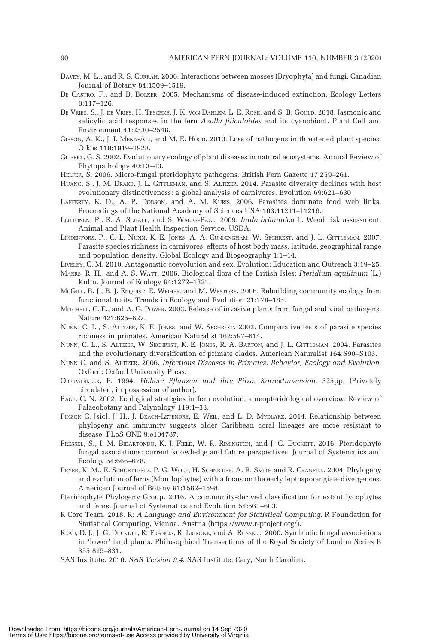- DAVEY, M. L., and R. S. CURRAH. 2006. Interactions between mosses (Bryophyta) and fungi. Canadian Journal of Botany 84:1509–1519.
- DE CASTRO, F., and B. BOLKER. 2005. Mechanisms of disease-induced extinction. Ecology Letters 8:117–126.
- DE VRIES, S., J. DE VRIES, H. TESCHKE, J. K. VON DAHLEN, L. E. ROSE, and S. B. GOULD. 2018. Jasmonic and salicylic acid responses in the fern Azolla filiculoides and its cyanobiont. Plant Cell and Environment 41:2530–2548.
- GIBSON, A. K., J. I. MENA-ALI, and M. E. HOOD. 2010. Loss of pathogens in threatened plant species. Oikos 119:1919–1928.
- GILBERT, G. S. 2002. Evolutionary ecology of plant diseases in natural ecosystems. Annual Review of Phytopathology 40:13–43.
- HELFER, S. 2006. Micro-fungal pteridophyte pathogens. British Fern Gazette 17:259–261.
- HUANG, S., J. M. DRAKE, J. L. GITTLEMAN, and S. ALTIZER. 2014. Parasite diversity declines with host evolutionary distinctiveness: a global analysis of carnivores. Evolution 69:621–630
- LAFFERTY, K. D., A. P. DOBSON, and A. M. KURIS. 2006. Parasites dominate food web links. Proceedings of the National Academy of Sciences USA 103:11211–11216.
- LEHTONEN, P., R. A. SCHALL, and S. WAGER-PAGÉ. 2009. Inula britannica L. Weed risk assessment. Animal and Plant Health Inspection Service, USDA.
- LINDENFORS, P., C. L. NUNN, K. E. JONES, A. A. CUNNINGHAM, W. SECHREST, and J. L. GITTLEMAN. 2007. Parasite species richness in carnivores: effects of host body mass, latitude, geographical range and population density. Global Ecology and Biogeography 1:1–14.
- LIVELEY, C. M. 2010. Antagonistic coevolution and sex. Evolution: Education and Outreach 3:19–25.
- MARRS, R. H., and A. S. WATT. 2006. Biological flora of the British Isles: Pteridium aquilinum (L.) Kuhn. Journal of Ecology 94:1272–1321.
- MCGILL, B. J., B. J. ENQUIST, E. WEIHER, and M. WESTOBY. 2006. Rebuilding community ecology from functional traits. Trends in Ecology and Evolution 21:178–185.
- MITCHELL, C. E., and A. G. POWER. 2003. Release of invasive plants from fungal and viral pathogens. Nature 421:625–627.
- NUNN, C. L., S. ALTIZER, K. E. JONES, and W. SECHREST. 2003. Comparative tests of parasite species richness in primates. American Naturalist 162:597–614.
- NUNN, C. L., S. ALTIZER, W. SECHREST, K. E. JONES, R. A. BARTON, and J. L. GITTLEMAN. 2004. Parasites and the evolutionary diversification of primate clades. American Naturalist 164:S90–S103.
- NUNN C. and S. ALTIZER. 2006. Infectious Diseases in Primates: Behavior, Ecology and Evolution. Oxford: Oxford University Press.
- OBERWINKLER, F. 1994. Höhere Pflanzen und ihre Pilze. Korrekturversion. 325pp. (Privately circulated, in possession of author).
- PAGE, C. N. 2002. Ecological strategies in fern evolution: a neopteridological overview. Review of Palaeobotany and Palynology 119:1–33.
- PINZON C. [sic], J. H., J. BEACH-LETENDRE, E. WEIL, and L. D. MYDLARZ. 2014. Relationship between phylogeny and immunity suggests older Caribbean coral lineages are more resistant to disease. PLoS ONE 9:e104787.
- PRESSEL, S., I. M. BIDARTONDO, K. J. FIELD, W. R. RIMINGTON, and J. G. DUCKETT. 2016. Pteridophyte fungal associations: current knowledge and future perspectives. Journal of Systematics and Ecology 54:666–678.
- PRYER, K. M., E. SCHUETTPELZ, P. G. WOLF, H. SCHNEIDER, A. R. SMITH and R. CRANFILL. 2004. Phylogeny and evolution of ferns (Monilophytes) with a focus on the early leptosporangiate divergences. American Journal of Botany 91:1582–1598.
- Pteridophyte Phylogeny Group. 2016. A community-derived classification for extant lycophytes and ferns. Journal of Systematics and Evolution 54:563–603.
- R Core Team. 2018. R: A Language and Environment for Statistical Computing. R Foundation for Statistical Computing, Vienna, Austria (https://www.r-project.org/).
- READ, D. J., J. G. DUCKETT, R. FRANCIS, R. LIGRONE, and A. RUSSELL. 2000. Symbiotic fungal associations in 'lower' land plants. Philosophical Transactions of the Royal Society of London Series B 355:815–831.
- SAS Institute. 2016. SAS Version 9.4. SAS Institute, Cary, North Carolina.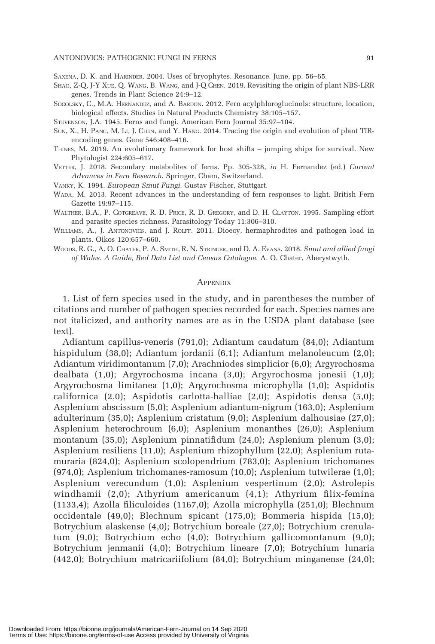SAXENA, D. K. and HARINDER. 2004. Uses of bryophytes. Resonance. June, pp. 56–65.

- SHAO, Z-Q, J-Y XUE, Q. WANG, B. WANG, and J-Q CHEN. 2019. Revisiting the origin of plant NBS-LRR genes. Trends in Plant Science 24:9–12.
- SOCOLSKY, C., M.A. HERNANDEZ, and A. BARDON. 2012. Fern acylphloroglucinols: structure, location, biological effects. Studies in Natural Products Chemistry 38:105–157.

STEVENSON, J.A. 1945. Ferns and fungi. American Fern Journal 35:97–104.

- SUN, X., H. PANG, M. LI, J. CHEN, and Y. HANG. 2014. Tracing the origin and evolution of plant TIRencoding genes. Gene 546:408–416.
- THINES, M. 2019. An evolutionary framework for host shifts jumping ships for survival. New Phytologist 224:605–617.
- VETTER, J. 2018. Secondary metabolites of ferns. Pp. 305-328, in H. Fernandez (ed.) Current Advances in Fern Research. Springer, Cham, Switzerland.
- VANKY, K. 1994. European Smut Fungi. Gustav Fischer, Stuttgart.
- WADA, M. 2013. Recent advances in the understanding of fern responses to light. British Fern Gazette 19:97–115.
- WALTHER, B.A., P. COTGREAVE, R. D. PRICE, R. D. GREGORY, and D. H. CLAYTON. 1995. Sampling effort and parasite species richness. Parasitology Today 11:306–310.
- WILLIAMS, A., J. ANTONOVICS, and J. ROLFF. 2011. Dioecy, hermaphrodites and pathogen load in plants. Oikos 120:657–660.
- WOODS, R. G., A. O. CHATER, P. A. SMITH, R. N. STRINGER, and D. A. EVANS. 2018. Smut and allied fungi of Wales. A Guide, Red Data List and Census Catalogue. A. O. Chater, Aberystwyth.

#### APPENDIX

1. List of fern species used in the study, and in parentheses the number of citations and number of pathogen species recorded for each. Species names are not italicized, and authority names are as in the USDA plant database (see text).

Adiantum capillus-veneris (791,0); Adiantum caudatum (84,0); Adiantum hispidulum (38,0); Adiantum jordanii (6,1); Adiantum melanoleucum (2,0); Adiantum viridimontanum (7,0); Arachniodes simplicior (6,0); Argyrochosma dealbata (1,0); Argyrochosma incana (3,0); Argyrochosma jonesii (1,0); Argyrochosma limitanea (1,0); Argyrochosma microphylla (1,0); Aspidotis californica (2,0); Aspidotis carlotta-halliae (2,0); Aspidotis densa (5,0); Asplenium abscissum (5,0); Asplenium adiantum-nigrum (163,0); Asplenium adulterinum (35,0); Asplenium cristatum (9,0); Asplenium dalhousiae (27,0); Asplenium heterochroum (6,0); Asplenium monanthes (26,0); Asplenium montanum (35,0); Asplenium pinnatifidum (24,0); Asplenium plenum (3,0); Asplenium resiliens (11,0); Asplenium rhizophyllum (22,0); Asplenium rutamuraria (824,0); Asplenium scolopendrium (783,0); Asplenium trichomanes (974,0); Asplenium trichomanes-ramosum (10,0); Asplenium tutwilerae (1,0); Asplenium verecundum (1,0); Asplenium vespertinum (2,0); Astrolepis windhamii (2,0); Athyrium americanum (4,1); Athyrium filix-femina (1133,4); Azolla filiculoides (1167,0); Azolla microphylla (251,0); Blechnum occidentale (49,0); Blechnum spicant (175,0); Bommeria hispida (15,0); Botrychium alaskense (4,0); Botrychium boreale (27,0); Botrychium crenulatum (9,0); Botrychium echo (4,0); Botrychium gallicomontanum (9,0); Botrychium jenmanii (4,0); Botrychium lineare (7,0); Botrychium lunaria (442,0); Botrychium matricariifolium (84,0); Botrychium minganense (24,0);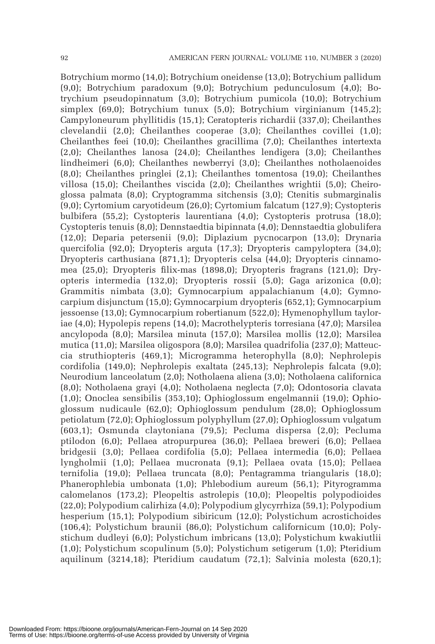Botrychium mormo (14,0); Botrychium oneidense (13,0); Botrychium pallidum (9,0); Botrychium paradoxum (9,0); Botrychium pedunculosum (4,0); Botrychium pseudopinnatum (3,0); Botrychium pumicola (10,0); Botrychium simplex (69,0); Botrychium tunux (5,0); Botrychium virginianum (145,2); Campyloneurum phyllitidis (15,1); Ceratopteris richardii (337,0); Cheilanthes clevelandii (2,0); Cheilanthes cooperae (3,0); Cheilanthes covillei (1,0); Cheilanthes feei (10,0); Cheilanthes gracillima (7,0); Cheilanthes intertexta (2,0); Cheilanthes lanosa (24,0); Cheilanthes lendigera (3,0); Cheilanthes lindheimeri (6,0); Cheilanthes newberryi (3,0); Cheilanthes notholaenoides (8,0); Cheilanthes pringlei (2,1); Cheilanthes tomentosa (19,0); Cheilanthes villosa (15,0); Cheilanthes viscida (2,0); Cheilanthes wrightii (5,0); Cheiroglossa palmata (8,0); Cryptogramma sitchensis (3,0); Ctenitis submarginalis (9,0); Cyrtomium caryotideum (26,0); Cyrtomium falcatum (127,9); Cystopteris bulbifera (55,2); Cystopteris laurentiana (4,0); Cystopteris protrusa (18,0); Cystopteris tenuis (8,0); Dennstaedtia bipinnata (4,0); Dennstaedtia globulifera (12,0); Deparia petersenii (9,0); Diplazium pycnocarpon (13,0); Drynaria quercifolia (92,0); Dryopteris arguta (17,3); Dryopteris campyloptera (34,0); Dryopteris carthusiana (871,1); Dryopteris celsa (44,0); Dryopteris cinnamomea (25,0); Dryopteris filix-mas (1898,0); Dryopteris fragrans (121,0); Dryopteris intermedia (132,0); Dryopteris rossii (5,0); Gaga arizonica (0,0); Grammitis nimbata (3,0); Gymnocarpium appalachianum (4,0); Gymnocarpium disjunctum (15,0); Gymnocarpium dryopteris (652,1); Gymnocarpium jessoense (13,0); Gymnocarpium robertianum (522,0); Hymenophyllum tayloriae (4,0); Hypolepis repens (14,0); Macrothelypteris torresiana (47,0); Marsilea ancylopoda (8,0); Marsilea minuta (157,0); Marsilea mollis (12,0); Marsilea mutica (11,0); Marsilea oligospora (8,0); Marsilea quadrifolia (237,0); Matteuccia struthiopteris (469,1); Microgramma heterophylla (8,0); Nephrolepis cordifolia (149,0); Nephrolepis exaltata (245,13); Nephrolepis falcata (9,0); Neurodium lanceolatum (2,0); Notholaena aliena (3,0); Notholaena californica (8,0); Notholaena grayi (4,0); Notholaena neglecta (7,0); Odontosoria clavata (1,0); Onoclea sensibilis (353,10); Ophioglossum engelmannii (19,0); Ophioglossum nudicaule (62,0); Ophioglossum pendulum (28,0); Ophioglossum petiolatum (72,0); Ophioglossum polyphyllum (27,0); Ophioglossum vulgatum (603,1); Osmunda claytoniana (79,5); Pecluma dispersa (2,0); Pecluma ptilodon (6,0); Pellaea atropurpurea (36,0); Pellaea breweri (6,0); Pellaea bridgesii (3,0); Pellaea cordifolia (5,0); Pellaea intermedia (6,0); Pellaea lyngholmii (1,0); Pellaea mucronata (9,1); Pellaea ovata (15,0); Pellaea ternifolia (19,0); Pellaea truncata (8,0); Pentagramma triangularis (18,0); Phanerophlebia umbonata (1,0); Phlebodium aureum (56,1); Pityrogramma calomelanos (173,2); Pleopeltis astrolepis (10,0); Pleopeltis polypodioides (22,0); Polypodium calirhiza (4,0); Polypodium glycyrrhiza (59,1); Polypodium hesperium (15,1); Polypodium sibiricum (12,0); Polystichum acrostichoides (106,4); Polystichum braunii (86,0); Polystichum californicum (10,0); Polystichum dudleyi (6,0); Polystichum imbricans (13,0); Polystichum kwakiutlii (1,0); Polystichum scopulinum (5,0); Polystichum setigerum (1,0); Pteridium aquilinum (3214,18); Pteridium caudatum (72,1); Salvinia molesta (620,1);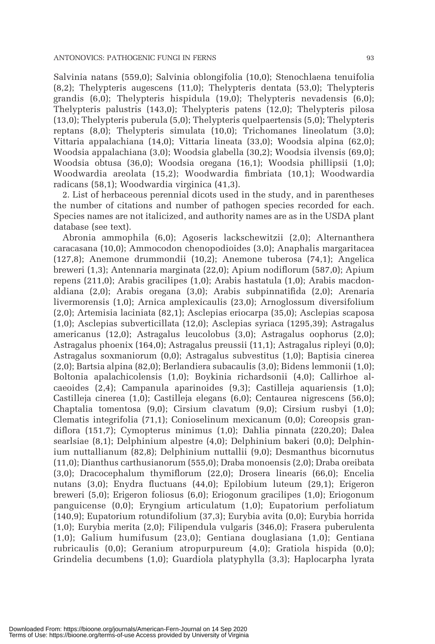Salvinia natans (559,0); Salvinia oblongifolia (10,0); Stenochlaena tenuifolia (8,2); Thelypteris augescens (11,0); Thelypteris dentata (53,0); Thelypteris grandis (6,0); Thelypteris hispidula (19,0); Thelypteris nevadensis (6,0); Thelypteris palustris (143,0); Thelypteris patens (12,0); Thelypteris pilosa (13,0); Thelypteris puberula (5,0); Thelypteris quelpaertensis (5,0); Thelypteris reptans (8,0); Thelypteris simulata (10,0); Trichomanes lineolatum (3,0); Vittaria appalachiana (14,0); Vittaria lineata (33,0); Woodsia alpina (62,0); Woodsia appalachiana (3,0); Woodsia glabella (30,2); Woodsia ilvensis (69,0); Woodsia obtusa (36,0); Woodsia oregana (16,1); Woodsia phillipsii (1,0); Woodwardia areolata (15,2); Woodwardia fimbriata (10,1); Woodwardia radicans (58,1); Woodwardia virginica (41,3).

2. List of herbaceous perennial dicots used in the study, and in parentheses the number of citations and number of pathogen species recorded for each. Species names are not italicized, and authority names are as in the USDA plant database (see text).

Abronia ammophila (6,0); Agoseris lackschewitzii (2,0); Alternanthera caracasana (10,0); Ammocodon chenopodioides (3,0); Anaphalis margaritacea (127,8); Anemone drummondii (10,2); Anemone tuberosa (74,1); Angelica breweri (1,3); Antennaria marginata (22,0); Apium nodiflorum (587,0); Apium repens (211,0); Arabis gracilipes (1,0); Arabis hastatula (1,0); Arabis macdonaldiana (2,0); Arabis oregana (3,0); Arabis subpinnatifida (2,0); Arenaria livermorensis (1,0); Arnica amplexicaulis (23,0); Arnoglossum diversifolium (2,0); Artemisia laciniata (82,1); Asclepias eriocarpa (35,0); Asclepias scaposa (1,0); Asclepias subverticillata (12,0); Asclepias syriaca (1295,39); Astragalus americanus (12,0); Astragalus leucolobus (3,0); Astragalus oophorus (2,0); Astragalus phoenix (164,0); Astragalus preussii (11,1); Astragalus ripleyi (0,0); Astragalus soxmaniorum (0,0); Astragalus subvestitus (1,0); Baptisia cinerea (2,0); Bartsia alpina (82,0); Berlandiera subacaulis (3,0); Bidens lemmonii (1,0); Boltonia apalachicolensis (1,0); Boykinia richardsonii (4,0); Callirhoe alcaeoides (2,4); Campanula aparinoides (9,3); Castilleja aquariensis (1,0); Castilleja cinerea (1,0); Castilleja elegans (6,0); Centaurea nigrescens (56,0); Chaptalia tomentosa (9,0); Cirsium clavatum (9,0); Cirsium rusbyi (1,0); Clematis integrifolia (71,1); Conioselinum mexicanum (0,0); Coreopsis grandiflora (151,7); Cymopterus minimus (1,0); Dahlia pinnata (220,20); Dalea searlsiae (8,1); Delphinium alpestre (4,0); Delphinium bakeri (0,0); Delphinium nuttallianum (82,8); Delphinium nuttallii (9,0); Desmanthus bicornutus (11,0); Dianthus carthusianorum (555,0); Draba monoensis (2,0); Draba oreibata (3,0); Dracocephalum thymiflorum (22,0); Drosera linearis (66,0); Encelia nutans (3,0); Enydra fluctuans (44,0); Epilobium luteum (29,1); Erigeron breweri (5,0); Erigeron foliosus (6,0); Eriogonum gracilipes (1,0); Eriogonum panguicense (0,0); Eryngium articulatum (1,0); Eupatorium perfoliatum (140,9); Eupatorium rotundifolium (37,3); Eurybia avita (0,0); Eurybia horrida (1,0); Eurybia merita (2,0); Filipendula vulgaris (346,0); Frasera puberulenta (1,0); Galium humifusum (23,0); Gentiana douglasiana (1,0); Gentiana rubricaulis (0,0); Geranium atropurpureum (4,0); Gratiola hispida (0,0); Grindelia decumbens (1,0); Guardiola platyphylla (3,3); Haplocarpha lyrata